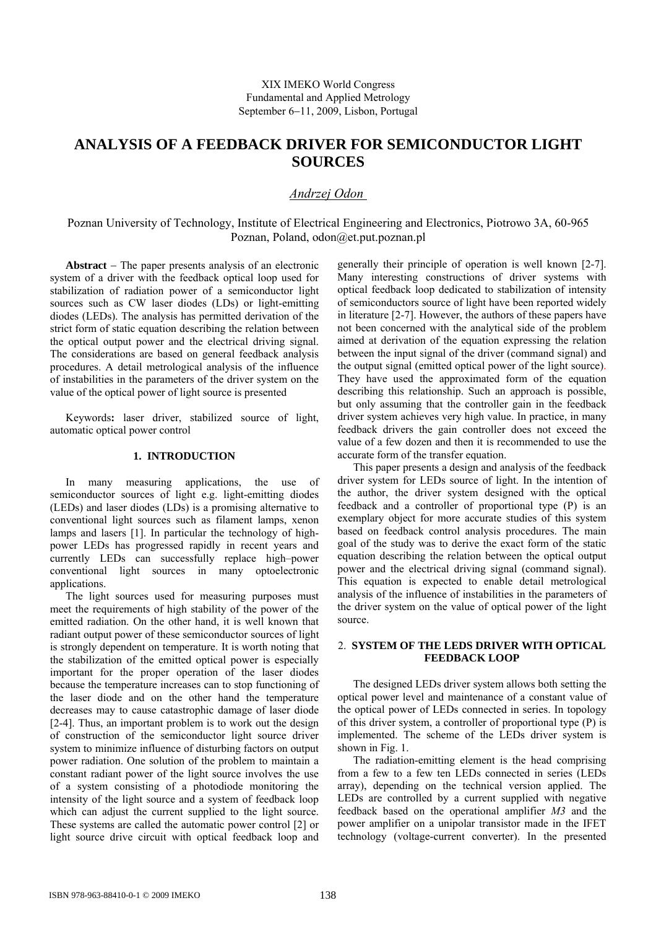# **ANALYSIS OF A FEEDBACK DRIVER FOR SEMICONDUCTOR LIGHT SOURCES**

## *Andrzej Odon*

Poznan University of Technology, Institute of Electrical Engineering and Electronics, Piotrowo 3A, 60-965 Poznan, Poland, odon@et.put.poznan.pl

**Abstract** − The paper presents analysis of an electronic system of a driver with the feedback optical loop used for stabilization of radiation power of a semiconductor light sources such as CW laser diodes (LDs) or light-emitting diodes (LEDs). The analysis has permitted derivation of the strict form of static equation describing the relation between the optical output power and the electrical driving signal. The considerations are based on general feedback analysis procedures. A detail metrological analysis of the influence of instabilities in the parameters of the driver system on the value of the optical power of light source is presented

Keywords**:** laser driver, stabilized source of light, automatic optical power control

### **1. INTRODUCTION**

In many measuring applications, the use of semiconductor sources of light e.g. light-emitting diodes (LEDs) and laser diodes (LDs) is a promising alternative to conventional light sources such as filament lamps, xenon lamps and lasers [1]. In particular the technology of highpower LEDs has progressed rapidly in recent years and currently LEDs can successfully replace high–power conventional light sources in many optoelectronic applications.

The light sources used for measuring purposes must meet the requirements of high stability of the power of the emitted radiation. On the other hand, it is well known that radiant output power of these semiconductor sources of light is strongly dependent on temperature. It is worth noting that the stabilization of the emitted optical power is especially important for the proper operation of the laser diodes because the temperature increases can to stop functioning of the laser diode and on the other hand the temperature decreases may to cause catastrophic damage of laser diode [2-4]. Thus, an important problem is to work out the design of construction of the semiconductor light source driver system to minimize influence of disturbing factors on output power radiation. One solution of the problem to maintain a constant radiant power of the light source involves the use of a system consisting of a photodiode monitoring the intensity of the light source and a system of feedback loop which can adjust the current supplied to the light source. These systems are called the automatic power control [2] or light source drive circuit with optical feedback loop and

generally their principle of operation is well known [2-7]. Many interesting constructions of driver systems with optical feedback loop dedicated to stabilization of intensity of semiconductors source of light have been reported widely in literature [2-7]. However, the authors of these papers have not been concerned with the analytical side of the problem aimed at derivation of the equation expressing the relation between the input signal of the driver (command signal) and the output signal (emitted optical power of the light source). They have used the approximated form of the equation describing this relationship. Such an approach is possible, but only assuming that the controller gain in the feedback driver system achieves very high value. In practice, in many feedback drivers the gain controller does not exceed the value of a few dozen and then it is recommended to use the accurate form of the transfer equation.

This paper presents a design and analysis of the feedback driver system for LEDs source of light. In the intention of the author, the driver system designed with the optical feedback and a controller of proportional type (P) is an exemplary object for more accurate studies of this system based on feedback control analysis procedures. The main goal of the study was to derive the exact form of the static equation describing the relation between the optical output power and the electrical driving signal (command signal). This equation is expected to enable detail metrological analysis of the influence of instabilities in the parameters of the driver system on the value of optical power of the light source.

### 2. **SYSTEM OF THE LEDS DRIVER WITH OPTICAL FEEDBACK LOOP**

The designed LEDs driver system allows both setting the optical power level and maintenance of a constant value of the optical power of LEDs connected in series. In topology of this driver system, a controller of proportional type (P) is implemented. The scheme of the LEDs driver system is shown in Fig. 1.

The radiation-emitting element is the head comprising from a few to a few ten LEDs connected in series (LEDs array), depending on the technical version applied. The LEDs are controlled by a current supplied with negative feedback based on the operational amplifier *M3* and the power amplifier on a unipolar transistor made in the IFET technology (voltage-current converter). In the presented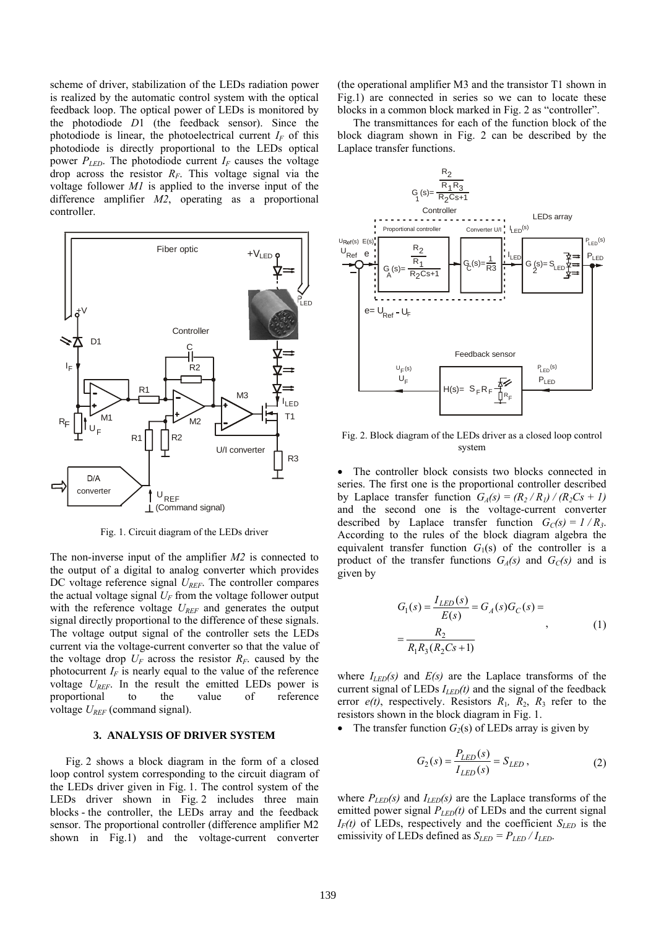scheme of driver, stabilization of the LEDs radiation power is realized by the automatic control system with the optical feedback loop. The optical power of LEDs is monitored by the photodiode *D*1 (the feedback sensor). Since the photodiode is linear, the photoelectrical current  $I_F$  of this photodiode is directly proportional to the LEDs optical power  $P_{LED}$ . The photodiode current  $I_F$  causes the voltage drop across the resistor *RF*. This voltage signal via the voltage follower *M1* is applied to the inverse input of the difference amplifier *M2*, operating as a proportional controller.



Fig. 1. Circuit diagram of the LEDs driver

The non-inverse input of the amplifier *M2* is connected to the output of a digital to analog converter which provides DC voltage reference signal *UREF*. The controller compares the actual voltage signal  $U_F$  from the voltage follower output with the reference voltage  $U_{REF}$  and generates the output signal directly proportional to the difference of these signals. The voltage output signal of the controller sets the LEDs current via the voltage-current converter so that the value of the voltage drop  $U_F$  across the resistor  $R_F$  caused by the photocurrent  $I_F$  is nearly equal to the value of the reference voltage  $U_{RFF}$ . In the result the emitted LEDs power is proportional to the value of reference voltage  $U_{REF}$  (command signal).

#### **3. ANALYSIS OF DRIVER SYSTEM**

Fig. 2 shows a block diagram in the form of a closed loop control system corresponding to the circuit diagram of the LEDs driver given in Fig. 1. The control system of the LEDs driver shown in Fig. 2 includes three main blocks - the controller, the LEDs array and the feedback sensor. The proportional controller (difference amplifier M2 shown in Fig.1) and the voltage-current converter

(the operational amplifier M3 and the transistor T1 shown in Fig.1) are connected in series so we can to locate these blocks in a common block marked in Fig. 2 as "controller".

The transmittances for each of the function block of the block diagram shown in Fig. 2 can be described by the Laplace transfer functions.



Fig. 2. Block diagram of the LEDs driver as a closed loop control system

The controller block consists two blocks connected in series. The first one is the proportional controller described by Laplace transfer function  $G_A(s) = (R_2/R_1)/(R_2Cs + 1)$ and the second one is the voltage-current converter described by Laplace transfer function  $G_C(s) = 1/R_3$ . According to the rules of the block diagram algebra the equivalent transfer function  $G_1(s)$  of the controller is a product of the transfer functions  $G_A(s)$  and  $G_C(s)$  and is given by

$$
G_1(s) = \frac{I_{LED}(s)}{E(s)} = G_A(s)G_C(s) =
$$
  
= 
$$
\frac{R_2}{R_1R_3(R_2Cs+1)}
$$
 (1)

where  $I_{LED}(s)$  and  $E(s)$  are the Laplace transforms of the current signal of LEDs  $I_{LED}(t)$  and the signal of the feedback error  $e(t)$ , respectively. Resistors  $R_1$ ,  $R_2$ ,  $R_3$  refer to the resistors shown in the block diagram in Fig. 1.

The transfer function  $G_2(s)$  of LEDs array is given by

$$
G_2(s) = \frac{P_{LED}(s)}{I_{LED}(s)} = S_{LED},
$$
\n(2)

where  $P_{LED}(s)$  and  $I_{LED}(s)$  are the Laplace transforms of the emitted power signal  $P_{LED}(t)$  of LEDs and the current signal  $I_F(t)$  of LEDs, respectively and the coefficient  $S_{LED}$  is the emissivity of LEDs defined as  $S_{LED} = P_{LED} / I_{LED}$ .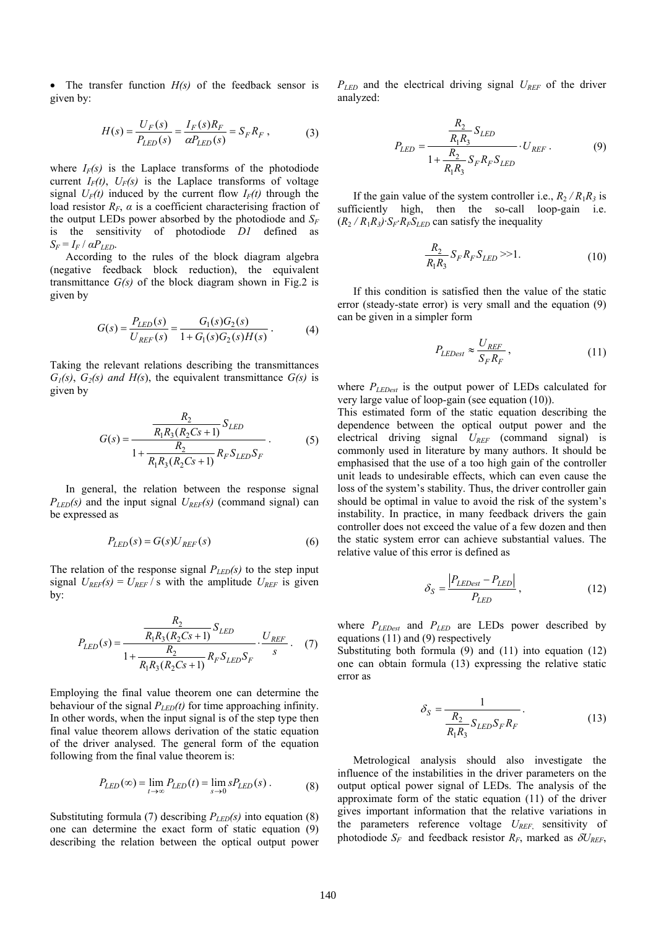• The transfer function *H(s)* of the feedback sensor is given by:

$$
H(s) = \frac{U_F(s)}{P_{LED}(s)} = \frac{I_F(s)R_F}{\alpha P_{LED}(s)} = S_F R_F,
$$
 (3)

where  $I_F(s)$  is the Laplace transforms of the photodiode current  $I_F(t)$ ,  $U_F(s)$  is the Laplace transforms of voltage signal  $U_F(t)$  induced by the current flow  $I_F(t)$  through the load resistor  $R_F$ ,  $\alpha$  is a coefficient characterising fraction of the output LEDs power absorbed by the photodiode and  $S_F$ is the sensitivity of photodiode *D1* defined as  $S_F = I_F / aP_{LED}$ .

According to the rules of the block diagram algebra (negative feedback block reduction), the equivalent transmittance  $G(s)$  of the block diagram shown in Fig.2 is given by

$$
G(s) = \frac{P_{LED}(s)}{U_{REF}(s)} = \frac{G_1(s)G_2(s)}{1 + G_1(s)G_2(s)H(s)}.
$$
(4)

Taking the relevant relations describing the transmittances  $G_1(s)$ ,  $G_2(s)$  and  $H(s)$ , the equivalent transmittance  $G(s)$  is given by

$$
G(s) = \frac{\frac{R_2}{R_1 R_3 (R_2 C s + 1)} S_{LED}}{1 + \frac{R_2}{R_1 R_3 (R_2 C s + 1)} R_F S_{LED} S_F}.
$$
 (5)

In general, the relation between the response signal  $P_{LED}(s)$  and the input signal  $U_{REF}(s)$  (command signal) can be expressed as

$$
P_{LED}(s) = G(s)U_{REF}(s)
$$
\n<sup>(6)</sup>

The relation of the response signal  $P_{LED}(s)$  to the step input signal  $U_{REF}(s) = U_{REF}/s$  with the amplitude  $U_{REF}$  is given by:

$$
P_{LED}(s) = \frac{\frac{R_2}{R_1 R_3 (R_2 C s + 1)} S_{LED}}{1 + \frac{R_2}{R_1 R_3 (R_2 C s + 1)} R_F S_{LED} S_F} \cdot \frac{U_{REF}}{s} \tag{7}
$$

Employing the final value theorem one can determine the behaviour of the signal  $P_{LED}(t)$  for time approaching infinity. In other words, when the input signal is of the step type then final value theorem allows derivation of the static equation of the driver analysed. The general form of the equation following from the final value theorem is:

$$
P_{LED}(\infty) = \lim_{t \to \infty} P_{LED}(t) = \lim_{s \to 0} s P_{LED}(s) . \tag{8}
$$

Substituting formula (7) describing  $P_{LED}(s)$  into equation (8) one can determine the exact form of static equation (9) describing the relation between the optical output power *PLED* and the electrical driving signal *UREF* of the driver analyzed:

$$
P_{LED} = \frac{\frac{R_2}{R_1 R_3} S_{LED}}{1 + \frac{R_2}{R_1 R_3} S_F R_F S_{LED}} \cdot U_{REF} .
$$
 (9)

If the gain value of the system controller i.e.,  $R_2 / R_1 R_3$  is sufficiently high, then the so-call loop-gain i.e.  $(R_2/R_1R_3)$ ·*S<sub>F</sub>*·*R<sub>F</sub>S<sub>LED</sub>* can satisfy the inequality

$$
\frac{R_2}{R_1 R_3} S_F R_F S_{LED} >> 1.
$$
 (10)

If this condition is satisfied then the value of the static error (steady-state error) is very small and the equation (9) can be given in a simpler form

$$
P_{LEDest} \approx \frac{U_{REF}}{S_F R_F},\tag{11}
$$

where *PLEDest* is the output power of LEDs calculated for very large value of loop-gain (see equation (10)).

This estimated form of the static equation describing the dependence between the optical output power and the electrical driving signal *UREF* (command signal) is commonly used in literature by many authors. It should be emphasised that the use of a too high gain of the controller unit leads to undesirable effects, which can even cause the loss of the system's stability. Thus, the driver controller gain should be optimal in value to avoid the risk of the system's instability. In practice, in many feedback drivers the gain controller does not exceed the value of a few dozen and then the static system error can achieve substantial values. The relative value of this error is defined as

$$
\delta_S = \frac{|P_{LEDest} - P_{LED}|}{P_{LED}},\tag{12}
$$

where  $P_{LEDest}$  and  $P_{LED}$  are LEDs power described by equations (11) and (9) respectively

Substituting both formula (9) and (11) into equation (12) one can obtain formula (13) expressing the relative static error as

$$
\delta_S = \frac{1}{\frac{R_2}{R_1 R_3} S_{LED} S_F R_F}.
$$
\n(13)

Metrological analysis should also investigate the influence of the instabilities in the driver parameters on the output optical power signal of LEDs. The analysis of the approximate form of the static equation (11) of the driver gives important information that the relative variations in the parameters reference voltage *UREF*, sensitivity of photodiode  $S_F$  and feedback resistor  $R_F$ , marked as  $\delta U_{REF}$ ,